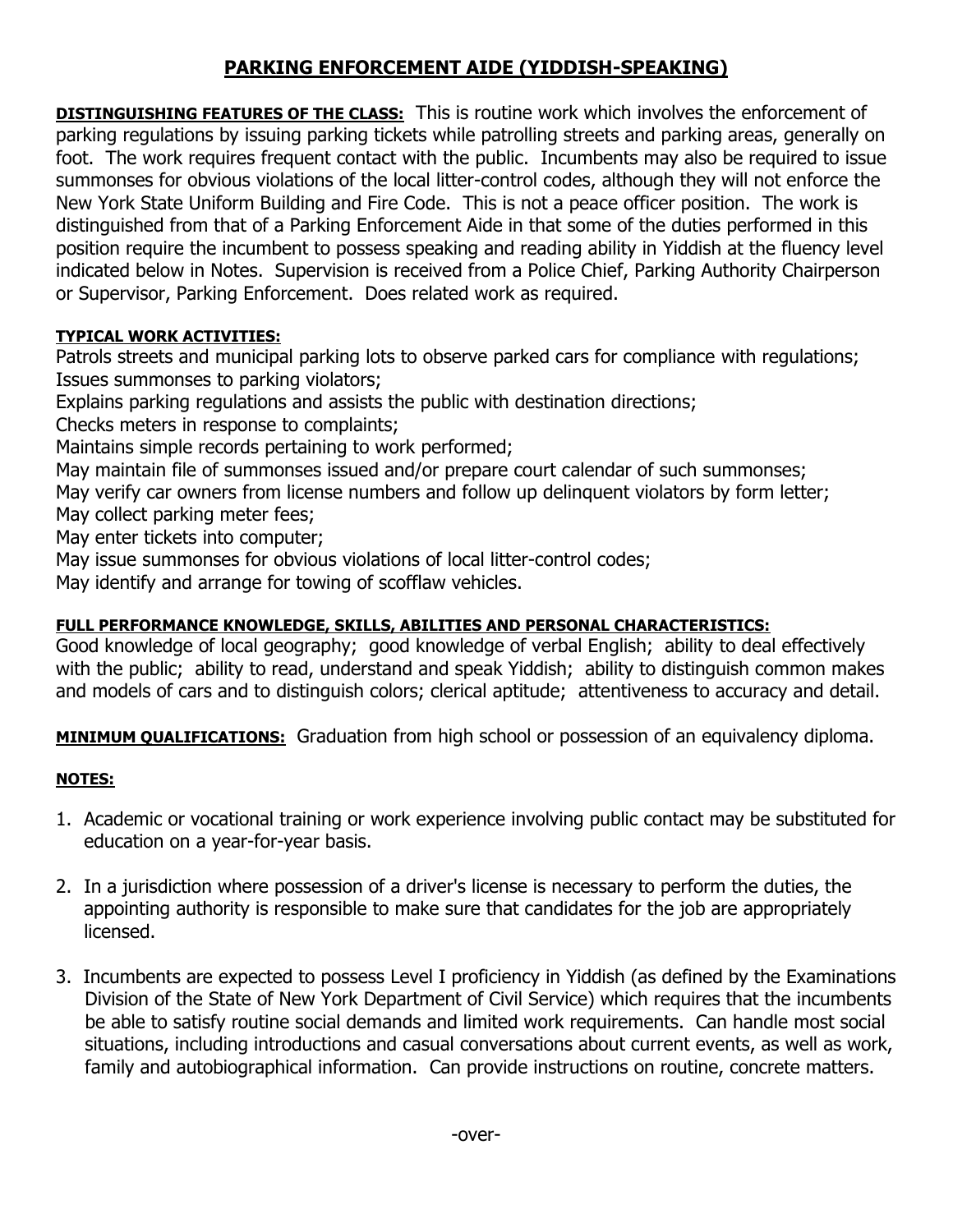## **PARKING ENFORCEMENT AIDE (YIDDISH-SPEAKING)**

**DISTINGUISHING FEATURES OF THE CLASS:** This is routine work which involves the enforcement of parking regulations by issuing parking tickets while patrolling streets and parking areas, generally on foot. The work requires frequent contact with the public. Incumbents may also be required to issue summonses for obvious violations of the local litter-control codes, although they will not enforce the New York State Uniform Building and Fire Code. This is not a peace officer position. The work is distinguished from that of a Parking Enforcement Aide in that some of the duties performed in this position require the incumbent to possess speaking and reading ability in Yiddish at the fluency level indicated below in Notes. Supervision is received from a Police Chief, Parking Authority Chairperson or Supervisor, Parking Enforcement. Does related work as required.

## **TYPICAL WORK ACTIVITIES:**

Patrols streets and municipal parking lots to observe parked cars for compliance with regulations; Issues summonses to parking violators;

Explains parking regulations and assists the public with destination directions;

Checks meters in response to complaints;

Maintains simple records pertaining to work performed;

May maintain file of summonses issued and/or prepare court calendar of such summonses;

May verify car owners from license numbers and follow up delinquent violators by form letter; May collect parking meter fees;

May enter tickets into computer;

May issue summonses for obvious violations of local litter-control codes;

May identify and arrange for towing of scofflaw vehicles.

## **FULL PERFORMANCE KNOWLEDGE, SKILLS, ABILITIES AND PERSONAL CHARACTERISTICS:**

Good knowledge of local geography; good knowledge of verbal English; ability to deal effectively with the public; ability to read, understand and speak Yiddish; ability to distinguish common makes and models of cars and to distinguish colors; clerical aptitude; attentiveness to accuracy and detail.

**MINIMUM QUALIFICATIONS:** Graduation from high school or possession of an equivalency diploma.

## **NOTES:**

- 1. Academic or vocational training or work experience involving public contact may be substituted for education on a year-for-year basis.
- 2. In a jurisdiction where possession of a driver's license is necessary to perform the duties, the appointing authority is responsible to make sure that candidates for the job are appropriately licensed.
- 3. Incumbents are expected to possess Level I proficiency in Yiddish (as defined by the Examinations Division of the State of New York Department of Civil Service) which requires that the incumbents be able to satisfy routine social demands and limited work requirements. Can handle most social situations, including introductions and casual conversations about current events, as well as work, family and autobiographical information. Can provide instructions on routine, concrete matters.